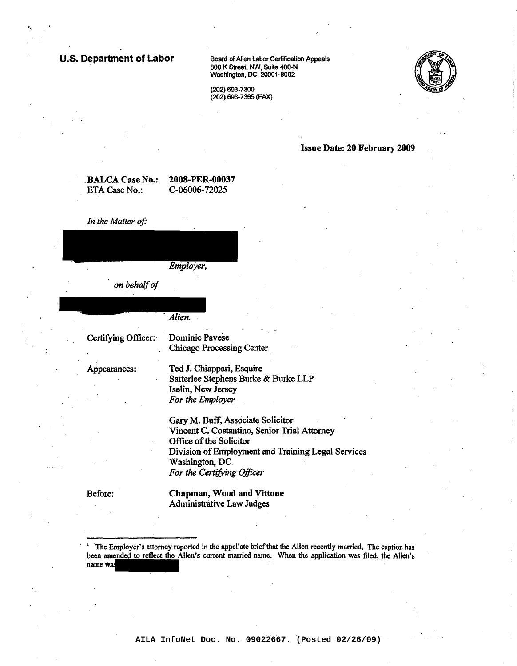## U.S. Department of Labor Board of Alien Labor Certification Appeals

800 K Street, NW. Suite 400-N Washington, DC 20001-8002

(202) 693-7300 (202) 693-7365 (FAX)



Issue Date: 20 February 2009

BALCA Case No.: ETA Case No.:

2008-PER-00037 C-06006-72025

*In the Matter of*

|         |  | Employer, |  |
|---------|--|-----------|--|
|         |  |           |  |
|         |  |           |  |
| $\cdot$ |  |           |  |
|         |  |           |  |
|         |  |           |  |
|         |  | ٠         |  |

*onbehalfof*

Alien.

Certifying Officer: Dominic Pavese

Chicago Processing Center"

Appearances: Ted J. Chiappari, Esquire Satterlee Stephens Burke & Burke LLP Iselin, New Jersey *For the Employer "*

> Gary M. Buff, Associate Solicitor Vincent C. Costantino, Senior Trial Attorney Office of the Solicitor Division ofEmployment and Training Legal Services Washington, DC. *For the Certifying Officer*

Before: Chapman, Wood and Vittone Administrative Law Judges

The Employer's attorney reported in the appellate brief that the Alien recently married. The caption has been amended to reflect the Alien's current married name. When the application was filed, the Alien's name was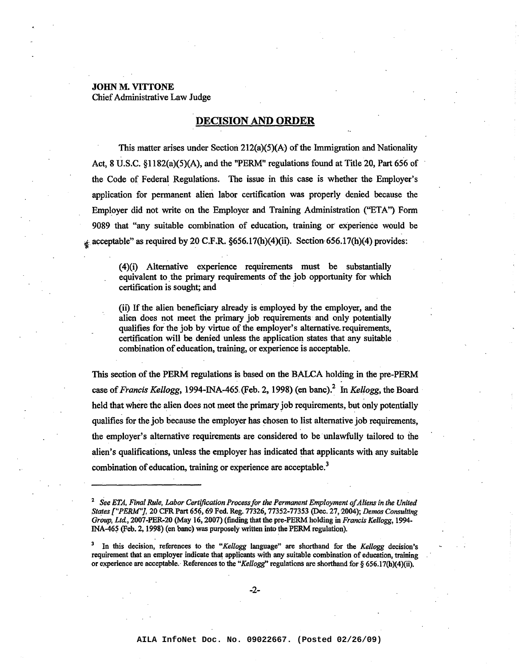# **JOHN M. VITTONE**

Chief Administrative Law Judge

## **DECISION AND ORDER**

This matter arises under Section  $212(a)(5)(A)$  of the Immigration and Nationality Act, 8 U.S.C. §1182(a)(5)(A), and the "PERM" regulations found at Title 20, Part 656 of the Code of Federal Regulations. The issue in this case is whether the Employer's application for permanent alien labor certification was properly denied because the Employer did not write on the Employer and Training Administration ("ETA") Form 9089 that "any suitable combination of education, training *ot* experience would be acceptable" as required by 20 C.F.R.  $\S 656.17(h)(4)(ii)$ . Section  $656.17(h)(4)$  provides:

(4)(i) Alternative experience requirements must be substantially equivalent to the primary requirements of the job opportunity for which certification is sought; and

(ii) If the alien beneficiary already is employed by the employer, and the alien does not meet the primary job requirements and only potentially qualifies for the job by virtue of the employer's alternative-requirements, certification will be denied unless the application states that any suitable combination of education, training, or experience is acceptable.

This section of the PERM regulations is based on the BALCA holding in the pre-PERM case of*Francis Kellogg,* 1994-INA-465.(Feb. 2, 1998) (en banc)? In *Kellogg,* the Board held that where the alien does not meet the primary job requirements, but only potentially qualifies for the job because the employer has chosen to list alternative job requirements, the employer's alternative requirements are considered to be unlawfully tailored to the alien's qualifications, unless the employer has indicated that applicants with any suitable combination of education, training or experience are acceptable.<sup>3</sup>

<sup>3</sup> In this decision, references to the *"Kellogg* language" are shorthand for the *Kellogg* decision's requirement that an employer indicate that applicants with any suitable combination of education, training or experience are acceptable. References to the "Kellogg" regulations are shorthand for § 656.17(h)(4)(ii).

-2-

<sup>2</sup> *See ETA, Final Rule, Labor Certification Processfor the Permanent Employment ofAliensin the United States ["PERM"].* 20 CPR Part 65~, 69 Fed. Reg. 77326, 77352-77353 (Dec. 27,2004); *Demos Consulting Group. Ltd,* 2007-PER-20 (May 16,2007) (finding that the pte-PERM holding in *Francis Kellogg, 1994-* INA-465 (Feb. 2, 1998) (en bane) was purposely written into the PERM regulation).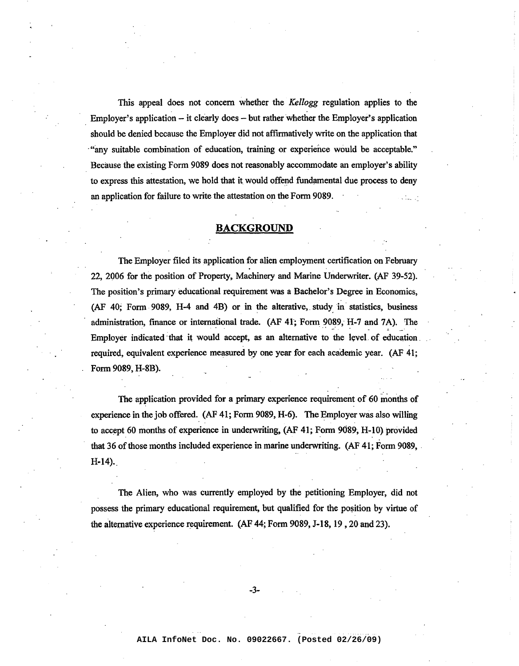This appeal does not concern whether the *Kellogg* regulation applies to the Employer's application - it clearly does - but rather whether the Employer's application should be denied because the Employer did not affirmatively write on the application that "any suitable combination of education, training or experience would be acceptable." Because the existing Form 9089 does not reasonably accommodate an employer's ability to express this attestation, we hold that it would offend fundamental due process to deny an application for failure to write the attestation on the Form 9089. .  $\frac{1}{2}$   $\frac{1}{2}$   $\frac{1}{2}$ 

## **BACKGROUND**

The Employer filed its application for alien employment certification on February 22, 2006 for the position of Property, Machinery and Marine Underwriter. (AF 39-52). The position's primary educational requirement was a Bachelor's Degree in Economics, (AF 40; Form 9089, H-4 and 4B) or in the alterative, study in statistics, business administration, finance or international trade. (AF 41; Form 9089, H-7 and 7A). The Employer indicated that it would accept, as an alternative to the level of education. required, equivalent experience measured by one year for each academic year. (AF 41; Form 9089, H-8B).

The application provided for a primary experience requirement of 60 months of experience in the job offered. (AF 41; Form 9089, H-6). The Employer was also willing to accept 60 months of experience in underwriting, (AF 41; Form 9089, H-I0) provided that 36 of those months included experience in marine underwriting. (AF 41; Form 9089,  $H-14$ ).

The Alien, who was currently employed by the petitioning Employer, did not possess the primary educational requirement, but qualified for the position by virtue of the alternative experience requirement. (AF 44; Form 9089, J-18, 19, 20 and 23).

-3-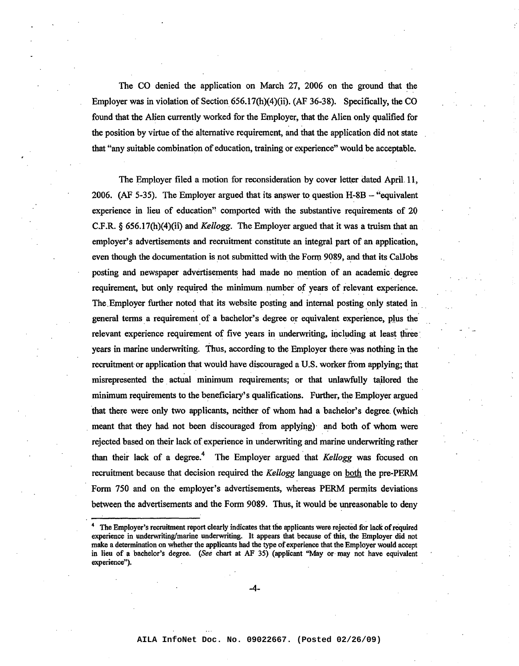The CO denied the application on March 27, 2006 on the ground that the Employer was in violation of Section  $656.17(h)(4)(ii)$ . (AF 36-38). Specifically, the CO found that the Alien currently worked for the Employer, that the Alien only qualified for the position by virtue of the alternative requirement, and that the application did not state that "any suitable combination of education, training or experience" would be acceptable.

The Employer filed a motion for reconsideration by cover letter dated April. **11,** 2006. (AF 5-35). The Employer argued that its answer to question H-8B  $-$  "equivalent experience in lieu of education" comported with the substantive requirements of 20 C.F.R. § 656.17(h)(4)(ii) and *Kellogg.* The Employer argued that it was a truism that an employer's advertisements and recruitment constitute an integral part of an application, even though the documentation is not submitted with the Form 9089, and that its CalJobs posting and newspaper advertisements had made no mention of an academic. degree requirement, but only required the minimum number of years of relevant experience. The Employer further noted that its website posting and internal posting only stated in general terms a requirement of a bachelor's degree or equivalent experience, plus the relevant experience requirement of five years in underwriting, including at least three years in marine underwriting. Thus, according to the Employer there was nothing in the recruitment or application that would have discouraged a U.S. worker from applying; that misrepresented the actual minimum requirements; or that unlawfully tailored the minimum requirements to the beneficiary's qualifications. Further, the Employer argued that there were only two applicants, neither of whom had a bachelor's degree. (which meant that they had not been discouraged from applying) and both of whom were rejected based on their lack of experience in underwriting and marine underwriting rather than their lack of a degree.<sup>4</sup> The Employer argued that *Kellogg* was focused on recruitment because that decision required the *Kellogg* language on both the pre-PERM Form 750 and on the employer's advertisements, whereas PERM permits deviations between the advertisements and the Fonn 9089. Thus, it would be unreasonable to deny

-4-

<sup>4</sup> The Employer's recruitment report clearly indicates that the applicants were rejected for lack ofrequired experience in underwriting/marine underwriting. It appears that because of this, the Employer did not make a determination on whether the applicants had the type ofexperience that the Employer would accept in lieu of a bachelor's degree. (See chart at AF 35) (applicant "May or may not have equivalent experience").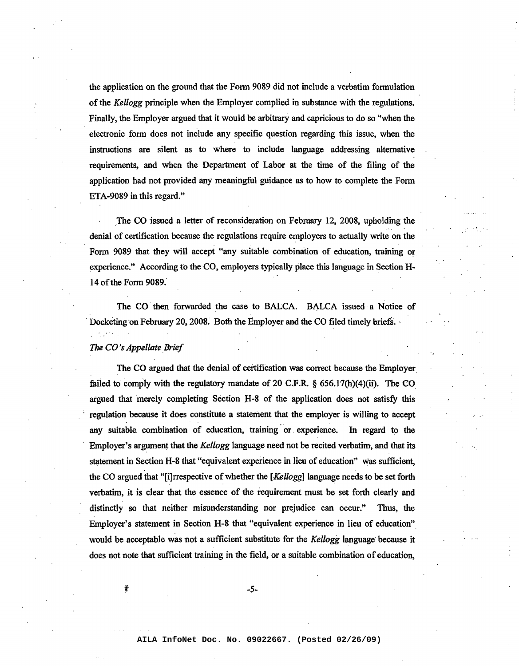the application on the ground that the Form 9089 did not include a verbatim formulation ofthe *Kellogg* principle when the Employer complied in substance with the regulations. Finally, the Employer argued that it would be arbitrary and capricious to do so "when the electronic form does not include any specific question regarding this issue, when the instructions are silent as to where to include language addressing alternative requirements, and when the Department of Labor at the time of the filing of the application had not provided any meaningful guidance as to how to complete the Form ETA-9089 in this regard."

The CO issued a letter of reconsideration on February 12, 2008, upholding the denial of certification because the regulations require employers to actually write on the Form 9089 that they will accept "any suitable combination of education, training or experience." According to the CO, employers typically place this language in Section H-14 of the Form 9089.

The CO then forwarded the case to BALCA. BALCA issued a Notice of Docketing on February 20, 2008. Both the Employer and the CO filed timely briefs.

### *The CO's Appellate Brief*

The CO argued that the denial of certification was correct because the Employer failed to comply with the regulatory mandate of 20 C.F.R.  $\S$  656.17(h)(4)(ii). The CO argued that 'merely completing Section H-8 of the application does not satisfy this regulation because it does constitute a statement that the employer is willing to accept any suitable, combination of education, training' or. experience. In regard to the Employer's argument that the *Kellogg* language need not be recited verbatim, and that its statement in Section H-8 that "equivalent experience in lieu of education" was sufficient, the CO argued that "*i*]rrespective of whether the *[Kellogg]* language needs to be set forth . The contract of the contract of the contract of the contract of the contract of the contract of the contract of verbatim, it is clear that the essence of the requirement must be set forth clearly and distinctly so that neither misunderstanding nor prejudice can occur." Thus, the Employer's statement in Section H-8 that "equivalent experience in lieu of education" would be acceptable was not a sufficient substitute for the *Kellogg* language' because it does not note that sufficient training in the field, or a suitable combination of education,

-5-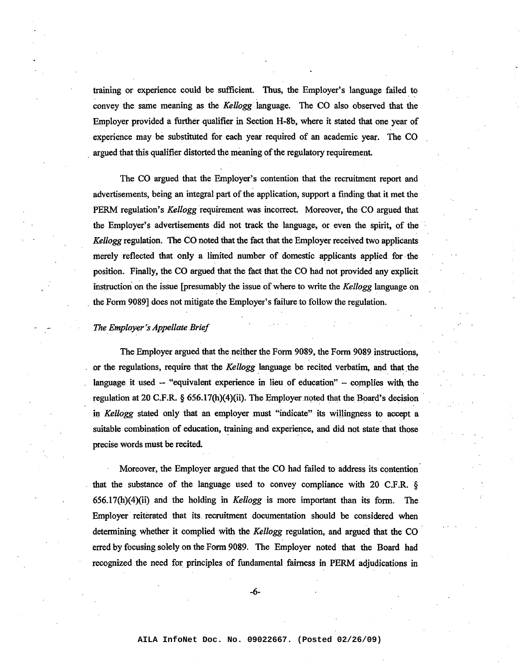training or experience could be sufficient. Thus, the Employer's language failed to convey the same meaning as the *Kellogg* language. The CO also observed that the Employer provided a further qualifier in Section H-8b, where it stated that one year of experience may be substituted for each year required of an academic year. The CO argued that this qualifier distorted the meaning of the regulatory requirement.

The CO argued that the Employer's contention that the recruitment report and advertisements, being an integral part of the application, support a finding that it met the PERM regulation's *Kellogg* requirement was incorrect. Moreover, the CO argued that the Employer's advertisements did not track the language, or even the spirit, of the *Kellogg* regulation. The CO noted that the fact that the Employer received two applicants merely reflected that only a limited number of domestic applicants applied for the position. Finally, the CO argued that the fact that the CO had not provided any explicit instruction on the issue [presumably the issue of where to write the *Kellogg* language on . the Form 9089] does not mitigate the Employer's failure to follow the regulation.

#### *The. Employer's Appellate Brief*

The Employer argued that the neither the Form 9089, the Form 9089 instructions, or the regulations, require that the *Kellogg* language be recited verbatim, and that the language it used -- "equivalent experience in lieu of education" - complies with the regulation at 20 C.F.R.  $\S 656.17(h)(4)(ii)$ . The Employer noted that the Board's decision in *Kellogg* stated only that an employer must "indicate" its willingness to accept a suitable combination of education, training and experience, and did not state that those precise words must be recited.

Moreover, the Employer argued that the CO had failed to address its contention that the substance of the language used to convey compliance with 20 C.F.R. § 656.17(h)(4)(ii) arid the holding in *Kellogg* is more important than its form. The Employer reiterated that its recruitment documentation should be considered when determining whether it complied with the *Kellogg* regulation, and argued that the CO erred by focusing solely on the Form 9089. The Employer noted that the Board had recognized the need for principles of fundamental fairness in PERM adjudications in

-6-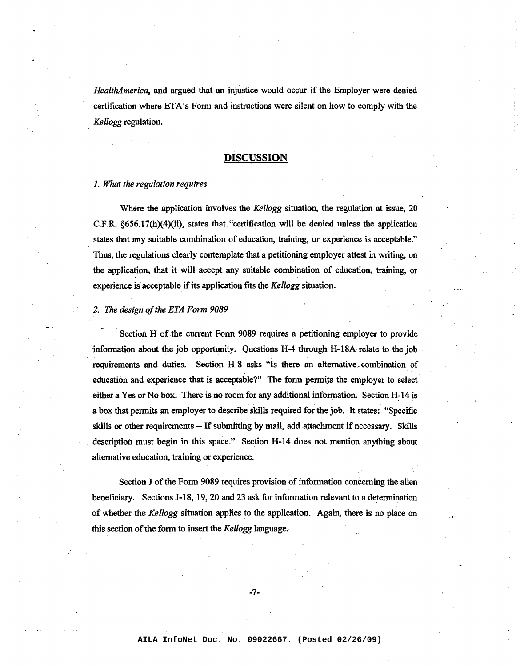*HealthAmerica,* and argued that an injustice would occur if the Employer were denied certification where ETA's Form and instructions were silent on how to comply with the *Kellogg* regulation.

## **DISCUSSION**

#### *1. What the regulation requires*

Where the application involves the *Kellogg* situation, the regulation at issue, 20 C.F.R. §656.17(h)(4)(ii), states that "certification will be denied unless the application states that any suitable combination of education, training, or experience is acceptable." Thus, the regulations clearly contemplate that a petitioning employer attest in writing, on the application, that it will accept any suitable combination of education, training, or experience is acceptable if its application fits the *Kellogg* situation.

#### *2. The design ofthe ETA Form 9089*

Section H of the current Form 9089 requires a petitioning employer to provide infonnation about the job opportunity. Questions. H-4 through H-18A relate to the job requirements and duties. Section H-8 asks "Is there an alternative combination of education and experience that is acceptable?" The form permits the employer to select either a Yes or No box. There is no room for any additional information. Section H-14 is a box that permits an employer to describe skills required for the job. It states: "Specific skills or other requirements - If submitting by mail, add attachment if necessary. Skills description must begin in this space." Section H-14 does not mention anything about alternative education, training or experience.

Section J of the Form 9089 requires provision of information concerning the alien beneficiary. Sections J-18, 19, 20 and 23 ask for information relevant to a determination of whether the *Kellogg* situation applies to the application. Again, there is no place on this section of the form to insert the *Kellogg* language.

**AILA InfoNet Doc. No. 09022667. (Posted 02/26/09)**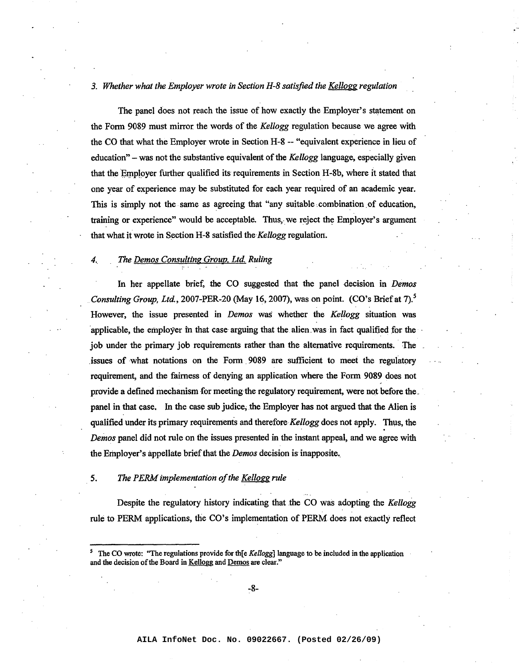### *3. Whether what the Employer wrote in Section H-8 satisfied the Kellogg regulation*

The panel does not reach the issue of how exactly the Employer's statement on the Form 9089 must mirror the words of the *Kellogg* regulation because we agree with the CO that what the Employer wrote in Section H-8 -- "equivalent experience in lieu of education" - was not the substantive equivalent of the *Kellogg* language, especially given that the Employer further qualified its requirements in Section H-8b, where it stated that one year of experience may be substituted for each year required of an academic year. This is simply not the same as agreeing that "any suitable combination of education, training or experience" would be acceptable. Thus, we reject the Employer's argument that what it wrote in Section H-8 satisfied the *Kellogg* regulation.

#### *4.. The Demos Consulting Group. Ltd. Ruling*

In her appellate brief, the CO suggested that the panel decision in *Demos Consulting Group, Ltd.,* 2007-PER-20 (May 16,2007), was on point. (CO's Briefat 7).5 However, the issue presented in *Demos* was whether the *Ke!logg* situation was applicable, the employer in that case arguing that the alien was in fact qualified for the job under the primary job requirements rather than the alternative requirements.. The .issues of what notations on the Form. 9089 are sufficient to meet the regulatory requirement, and the fairness of denying an application where the Form 9089 does not provide a defined mechanism for meeting the regulatory requirement, were not before the ... panel in that case. In the case sub judice, the Employer has not argued that the Alien is qualified under its primary requirements and therefore *Kellogg* does not apply. Thus, the *Demos* panel did not rule on the issues presented in the instant appeal, and we agree with the Employer's appellate brief that the *Demos* decision is inapposite.

#### 5. The PERM implementation of the <u>Kellogg</u> rule

Despite the regulatory history indicating that the CO was adopting the *Kellogg* rule to PERM applications, the CO's implementation of PERM does not exactly reflect

-8-

<sup>&</sup>lt;sup>5</sup> The CO wrote: "The regulations provide for the *Kellogg*] language to be included in the application and the decision of the Board in Kellogg and Demos are clear."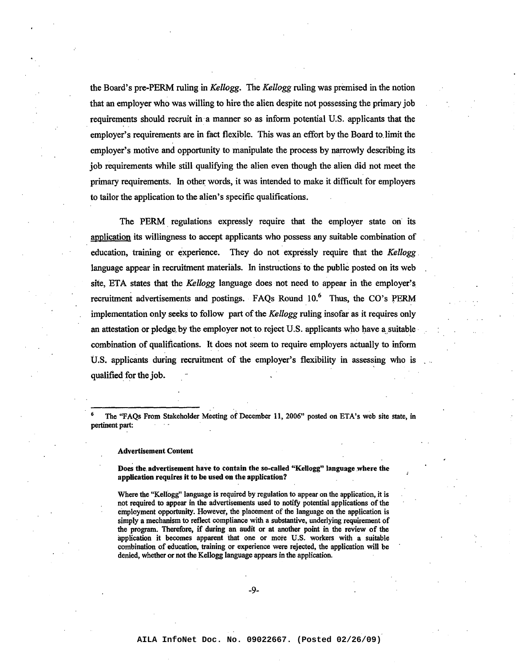the Board's pre-PERM ruling in *Kellogg.* The *Kellogg* ruling was premised in the notion that an employer who was willing to hire the alien despite not possessing the primary job requirements should recruit in a manner so as inform potential U.S. applicants that the employer's requirements are in fact flexible. This was an effort by the Board to. limit the employer's motive and opportunity to manipulate the process by narrowly describing its job requirements while still qualifying the alien even though the alien did not meet the primary requirements. In other words, it was intended to make it difficult for employers to tailor the application to the alien's specific qualifications.

The PERM. regulations expressly require that the employer state on its application its willingness to accept applicants who possess any suitable combination of education, training or experience. They do not expressly require that the *Kellogg* language appear in recruitment materials. In instructions to the public posted on its web site, ETA states that the *Kellogg* language does not need to appear in the employer's recruitment advertisements and postings. FAQs Round 10.<sup>6</sup> Thus, the CO's PERM implementation only seeks to follow part of the *Kellogg* ruling insofar as it requires only an attestation or pledge by the employer not to reject U.S. applicants who have a suitable combination of qualifications. It does not seem to require employers actually to inform U.S. applicants during recruitment of the employer's flexibility in assessing who is qualified for the job.

The "FAQs From Stakeholder Meeting of December 11, 2006" posted on ETA's web site state, in pertinent part:

#### Advertisement Content

Does the advertisement have to contain the so-called "Kellogg" language where the application requires it to be used on the application?

Where the ''Kellogg'' language is required by regulation to appear on the application, it is not required to appear in the advertisements used to notify potential applications of the employment opportunity. However, the placement of the language on the application is simply a mechanism to reflect compliance with a substantive, underlying requirement of the program. Therefore, if during an audit or at another point in the review of the application it becomes apparent that one or mote U.S. workers with a suitable combination of education, training or experience were rejected, the application will be denied, whether or not the Kellogg language appears in the application.

-9-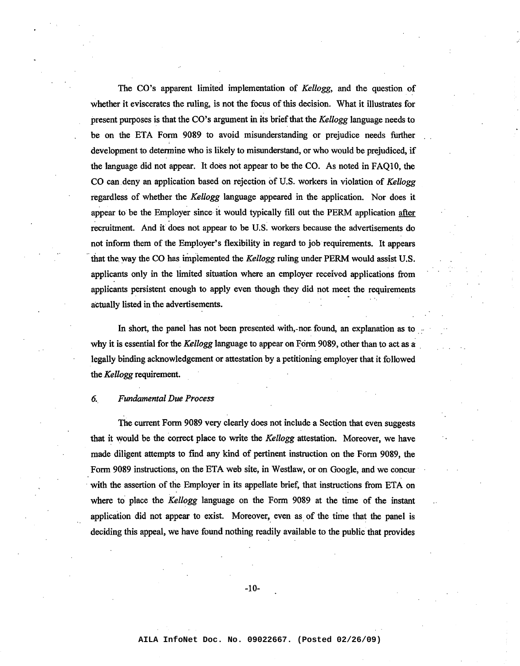The CO's apparent limited implementation of *Kellogg,* and the question of whether it eviscerates the ruling, is not the focus of this decision. What it illustrates for present purposes is that the CO's argument in its briefthat the *Kellogg* language needs to be on the ETA Form 9089 to avoid misunderstanding or prejudice needs further development to determine who is likely to misunderstand, or who would be prejudiced, if the language did not appear. It does not appear to be the CO. As noted in FAQI0, the CO can deny an application based on rejection of U.S. workers in violation of *Kellogg* regardless of whether the *Kellogg* language appeared in the application. Nor does it appear to be the Employer since it would typically fill out the PERM application after recruitment. And it does not appear to be U.S. workers because the advertisements do not inform them of the Employer's flexibility in regard to job' requirements. It appears that the way the CO has implemented the *Kellogg* ruling under PERM would assist U.S. applicants only in the limited situation where an employer received applications from applicants persistent enough to apply even though they did not meet the requirements actually listed in the advertisements.

In short, the panel has not been presented with,-nor found, an explanation as to why it is essential for the *Kellogg* language to appear on Form 9089, other than to act as a legally binding acknowledgement or attestation by a petitioning employer that it followed the *Kellogg* requirement.

#### *6., Fundamental Due Process*

The current Form 9089 very clearly does not include a Section that even suggests that it would be the correct place to write the *Kellogg* attestation. Moreover, we have made diligent attempts to find any kind of pertinent instruction on the Form 9089, the Form 9089 instructions, on the ETA web site, in Westlaw, or on Google, and we concur with the assertion of the Employer in its appellate brief, that instructions from ETA on where to place the *Kellogg* language on the Form 9089 at the time of the instant application did not appear to exist. Moreover, even as of the time that the panel is deciding this appeal, we have found nothing readily available to the public that provides

-10-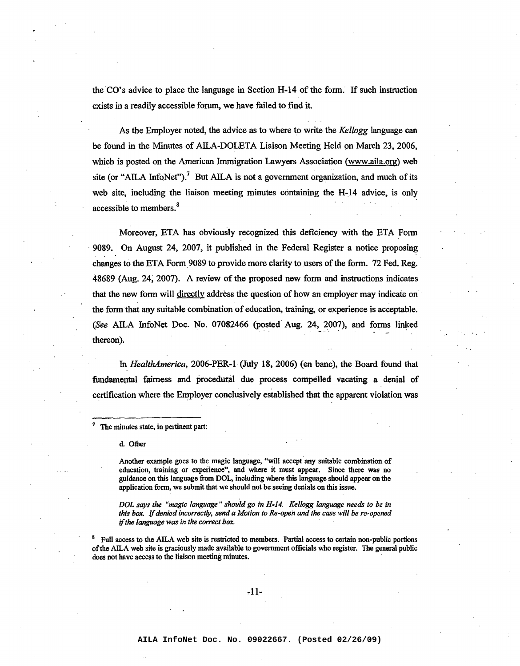the'eO's advice to place the language in Section H-14 of the form. If such instruction exists in a readily accessible forum, we have failed to find it.

As the Employer noted, the advice as to where to write the *Kellogg* language can be found in the Minutes of AILA-DOLETA Liaison Meeting Held on March 23, 2006, which is posted on the American Immigration Lawyers Association (www.aila.org) web site (or "AILA InfoNet").<sup>7</sup> But AILA is not a government organization, and much of its web site, including the liaison meeting minutes containing the H~14 advice, is only accessible to members.<sup>8</sup>

Moreover, ETA has obviously recognized this deficiency with the ETA Form . 9089. On August 24, 2007, it published in the Federal Register a notice proposing changes to the ETA Form 9089 to provide more clarity to users of the form. 72 Fed. Reg. 48689 (Aug. 24; 2007). A review of the proposed new form and instructions indicates that the new form will directly address the question of how an employer may indicate on the form that any suitable combination of education, training, or experience is acceptable. *(See* AILA InfoNet Doc. No. 07082466 (posted' Aug. 24, 2007), and forms linked .thereon).

In *HealthAmerica,* 2006-PER-l (July 18,2006) (en bane), the Board found that fundamental fairness and procedural due process compelled vacating a denial of certification where the Employer conclusively established that the apparent violation was

The minutes state, in pertinent part:

d. Other

Another example goes to the magic language, "will accept any suitable combination of education, training or experience", and where it must appear. Since there was no guidance on this language from DOL, including where this language should appear on the application form, we submit that we should not be seeing denials on this issue.

*DOL says the "magic language" should* go *in H-14. Kellogg language needs to be in this box.* If*denied incorrectly, send <sup>a</sup> Motion to Re-open and the case will be re-opened* if*the language was in the correct box.*

<sup>8</sup> Full access to the AILA web site is restricted to members. Partial access to certain non-public portions ofthe AILA web site is graciously made available to government officials who register. The general public does not have access to the liaison meeting minutes.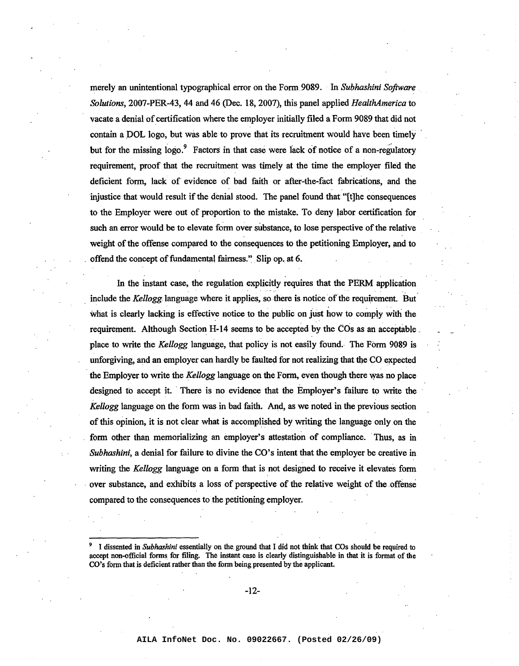merely an unintentional typographical error on the Form.9089. In *Subhashini Software Solutions,* 2007-PER-43, 44 and 46 (Dec. 18,2007), this panel applied *HealthAmerica* to vacate a denial of certification where the employer initially filed a Form 9089 that did not contain a DOL logo, but was able to prove that its recruitment would have been timely but for the missing logo.<sup>9</sup> Factors in that case were lack of notice of a non-regulatory requirement, proof that the recruitment was timely at the time the employer filed the deficient form, lack of evidence of bad faith or after-the-fact fabrications, and the injustice that would result if the denial stood. The panel found that "[t]he consequences to the Employer were out of proportion to the mistake. To deny labor certification for such an error would be to elevate form over substance, to lose perspective of the relative weight of the offense compared to the consequences to the petitioning Employer, and to offend the concept of fundamental fairness." Slip op. at 6.

. . In the instant case, the regulation explicitly requires that the PERM application include the *Kellogg* language where it applies, so there is notice of the requirement. But what is clearly lacking is effective notice to the public on just how to comply with the requirement. Although Section  $H-14$  seems to be accepted by the COs as an acceptable place to write the *Kellogg* language, that policy is not easily found. The Form 9089 is unforgiving, and an employer can hardly be faulted for not realizing that the CO expected the Employer to write the *Kellogg* language on the Form, even though there was no place designed to accept it. There is no evidence that the Employer's failure to write the *Kellogg* language on the form was in bad faith. And, as we noted in the previous section ofthis opinion, it is not clear what is accomplished by writing the language only on the form other than memorializing an employer's attestation of compliance. Thus, as in *Subhashini,* a denial for failure to divine the CO's intent that the employer be creative in writing the *Kellogg* language on a form that is not designed to receive it elevates form over substance, and exhibits a loss of perspective of the relative weight of the offense compared to the consequences to the petitioning employer.

-12-

<sup>9</sup> I dissented in *Subhashini* essentially on the ground that I did not think that COs should be required to accept non-official forms for filing. The instant case is clearly distinguishable in that it is format of the CO's form that is deficient rather than the form being presented by the applicant.